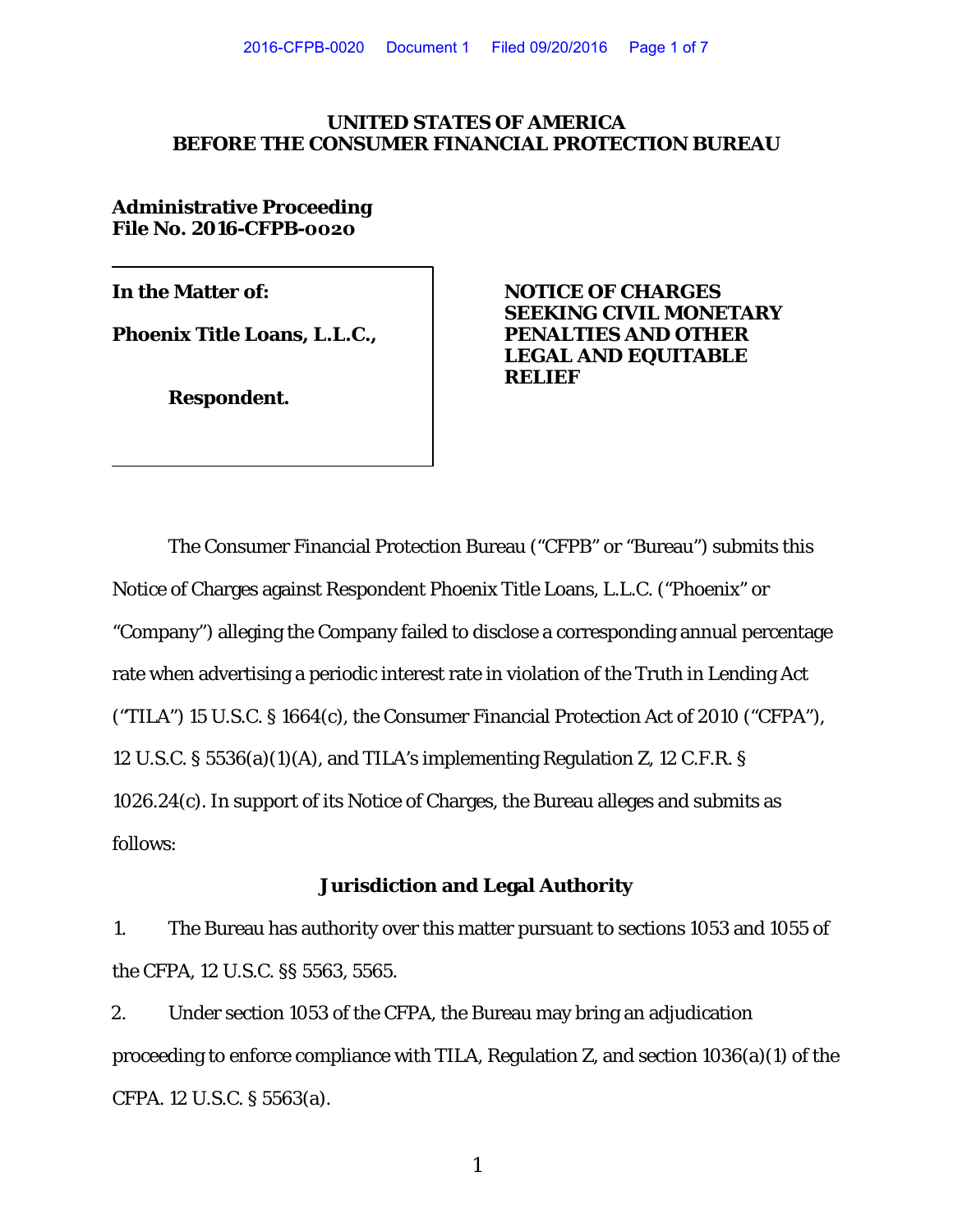### **UNITED STATES OF AMERICA BEFORE THE CONSUMER FINANCIAL PROTECTION BUREAU**

**Administrative Proceeding File No. 2016-CFPB-0020**

**Phoenix Title Loans, L.L.C.,** 

**Respondent.** 

**In the Matter of: NOTICE OF CHARGES SEEKING CIVIL MONETARY LEGAL AND EQUITABLE RELIEF**

The Consumer Financial Protection Bureau ("CFPB" or "Bureau") submits this Notice of Charges against Respondent Phoenix Title Loans, L.L.C. ("Phoenix" or "Company") alleging the Company failed to disclose a corresponding annual percentage rate when advertising a periodic interest rate in violation of the Truth in Lending Act ("TILA") 15 U.S.C. § 1664(c), the Consumer Financial Protection Act of 2010 ("CFPA"), 12 U.S.C. § 5536(a)(1)(A), and TILA's implementing Regulation Z, 12 C.F.R. § 1026.24(c). In support of its Notice of Charges, the Bureau alleges and submits as follows:

# **Jurisdiction and Legal Authority**

1. The Bureau has authority over this matter pursuant to sections 1053 and 1055 of the CFPA, 12 U.S.C. §§ 5563, 5565.

2. Under section 1053 of the CFPA, the Bureau may bring an adjudication proceeding to enforce compliance with TILA, Regulation Z, and section 1036(a)(1) of the CFPA. 12 U.S.C. § 5563(a).

1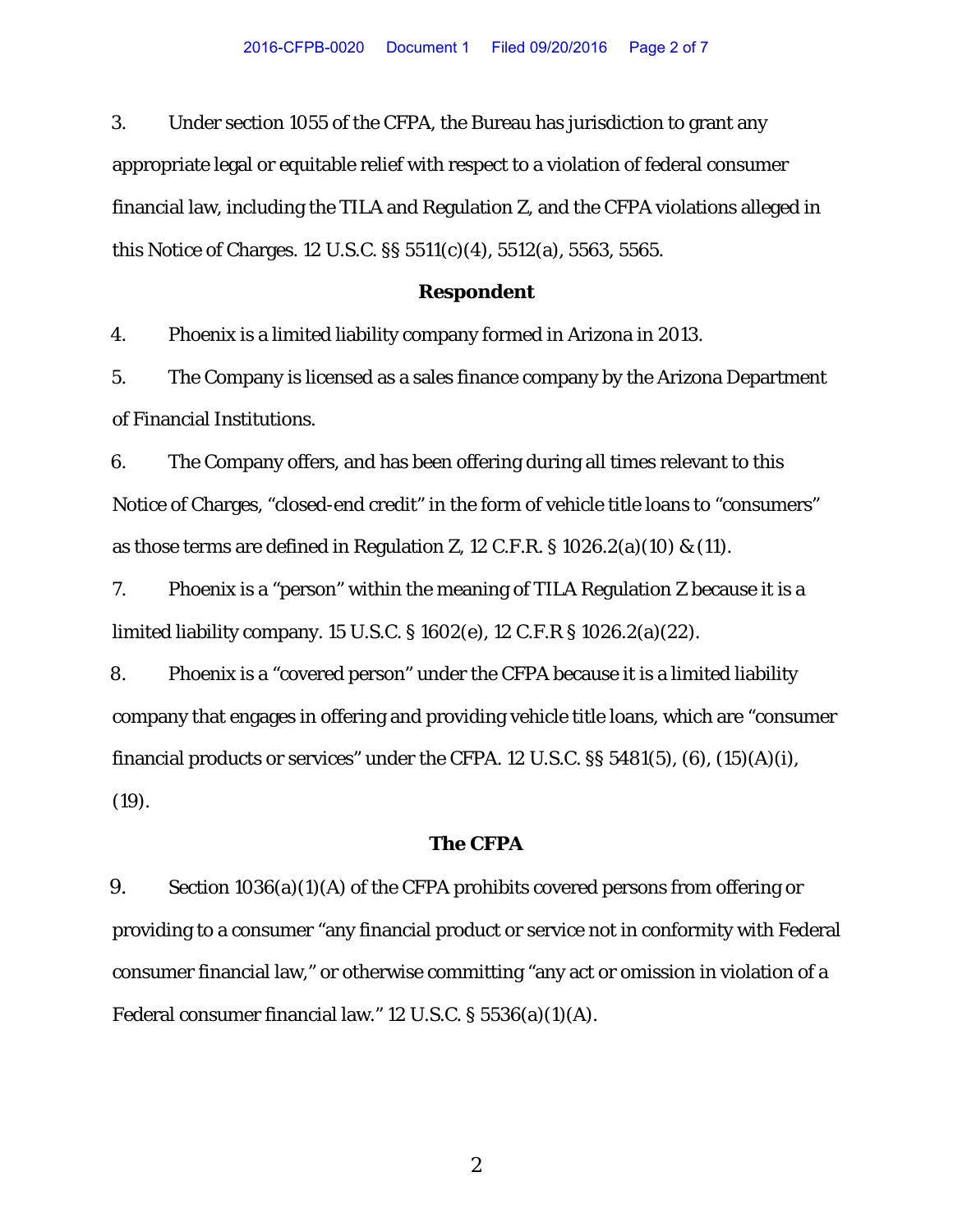3. Under section 1055 of the CFPA, the Bureau has jurisdiction to grant any appropriate legal or equitable relief with respect to a violation of federal consumer financial law, including the TILA and Regulation Z, and the CFPA violations alleged in this Notice of Charges. 12 U.S.C. §§ 5511(c)(4), 5512(a), 5563, 5565.

#### **Respondent**

4. Phoenix is a limited liability company formed in Arizona in 2013.

5. The Company is licensed as a sales finance company by the Arizona Department of Financial Institutions.

6. The Company offers, and has been offering during all times relevant to this Notice of Charges, "closed-end credit" in the form of vehicle title loans to "consumers" as those terms are defined in Regulation Z, 12 C.F.R.  $\S$  1026.2(a)(10) & (11).

7. Phoenix is a "person" within the meaning of TILA Regulation Z because it is a limited liability company. 15 U.S.C. § 1602(e), 12 C.F.R § 1026.2(a)(22).

8. Phoenix is a "covered person" under the CFPA because it is a limited liability company that engages in offering and providing vehicle title loans, which are "consumer financial products or services" under the CFPA. 12 U.S.C.  $\S$ § 5481(5), (6), (15)(A)(i), (19).

#### **The CFPA**

9. Section 1036(a)(1)(A) of the CFPA prohibits covered persons from offering or providing to a consumer "any financial product or service not in conformity with Federal consumer financial law," or otherwise committing "any act or omission in violation of a Federal consumer financial law." 12 U.S.C. § 5536(a)(1)(A).

2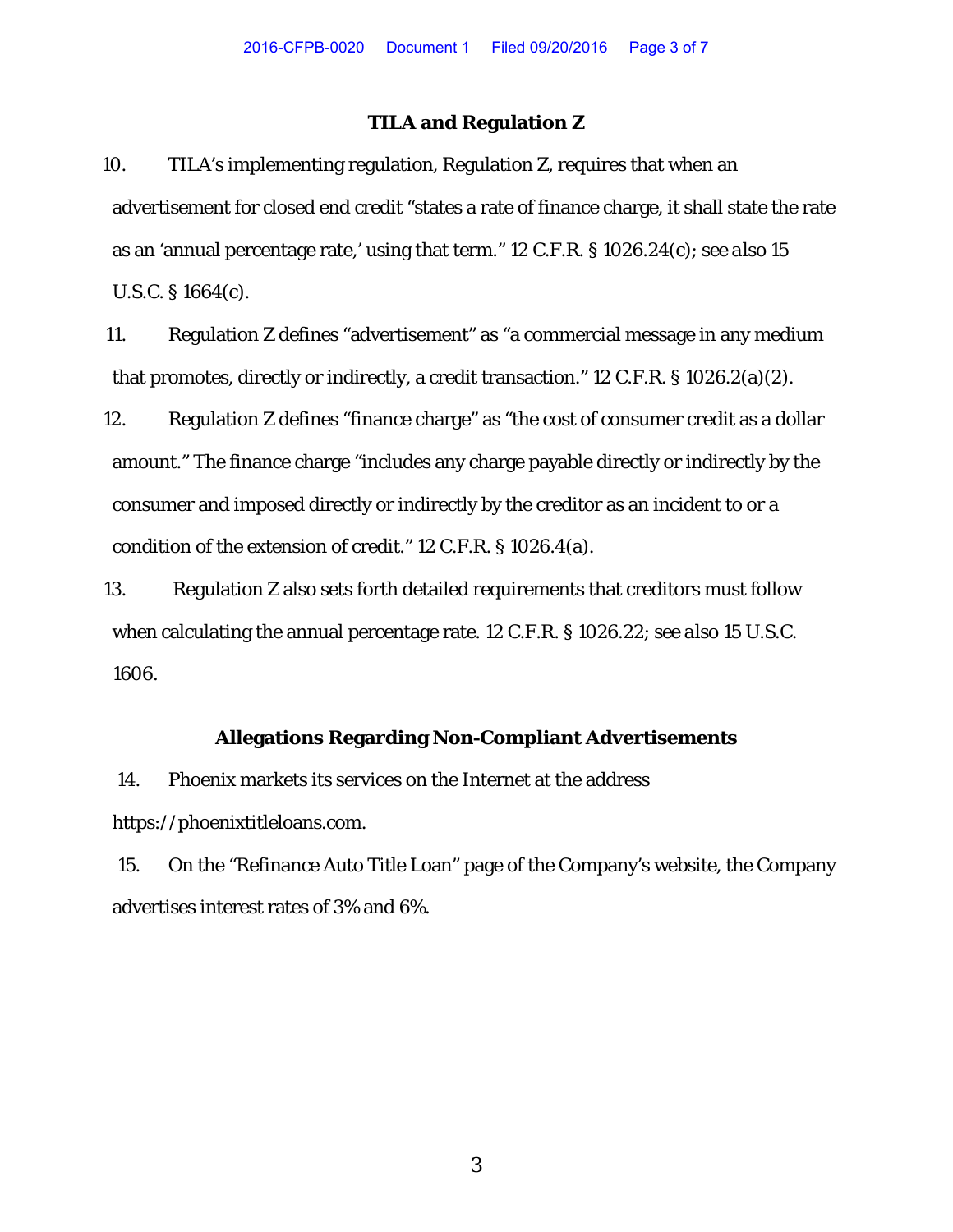# **TILA and Regulation Z**

10. TILA's implementing regulation, Regulation Z, requires that when an advertisement for closed end credit "states a rate of finance charge, it shall state the rate as an 'annual percentage rate,' using that term." 12 C.F.R. § 1026.24(c); *see also* 15 U.S.C. § 1664(c).

11. Regulation Z defines "advertisement" as "a commercial message in any medium that promotes, directly or indirectly, a credit transaction." 12 C.F.R. § 1026.2(a)(2).

12. Regulation Z defines "finance charge" as "the cost of consumer credit as a dollar amount." The finance charge "includes any charge payable directly or indirectly by the consumer and imposed directly or indirectly by the creditor as an incident to or a condition of the extension of credit." 12 C.F.R. § 1026.4(a).

13. Regulation Z also sets forth detailed requirements that creditors must follow when calculating the annual percentage rate. 12 C.F.R. § 1026.22; *see also* 15 U.S.C. 1606.

# **Allegations Regarding Non-Compliant Advertisements**

14. Phoenix markets its services on the Internet at the address https://phoenixtitleloans.com.

15. On the "Refinance Auto Title Loan" page of the Company's website, the Company advertises interest rates of 3% and 6%.

3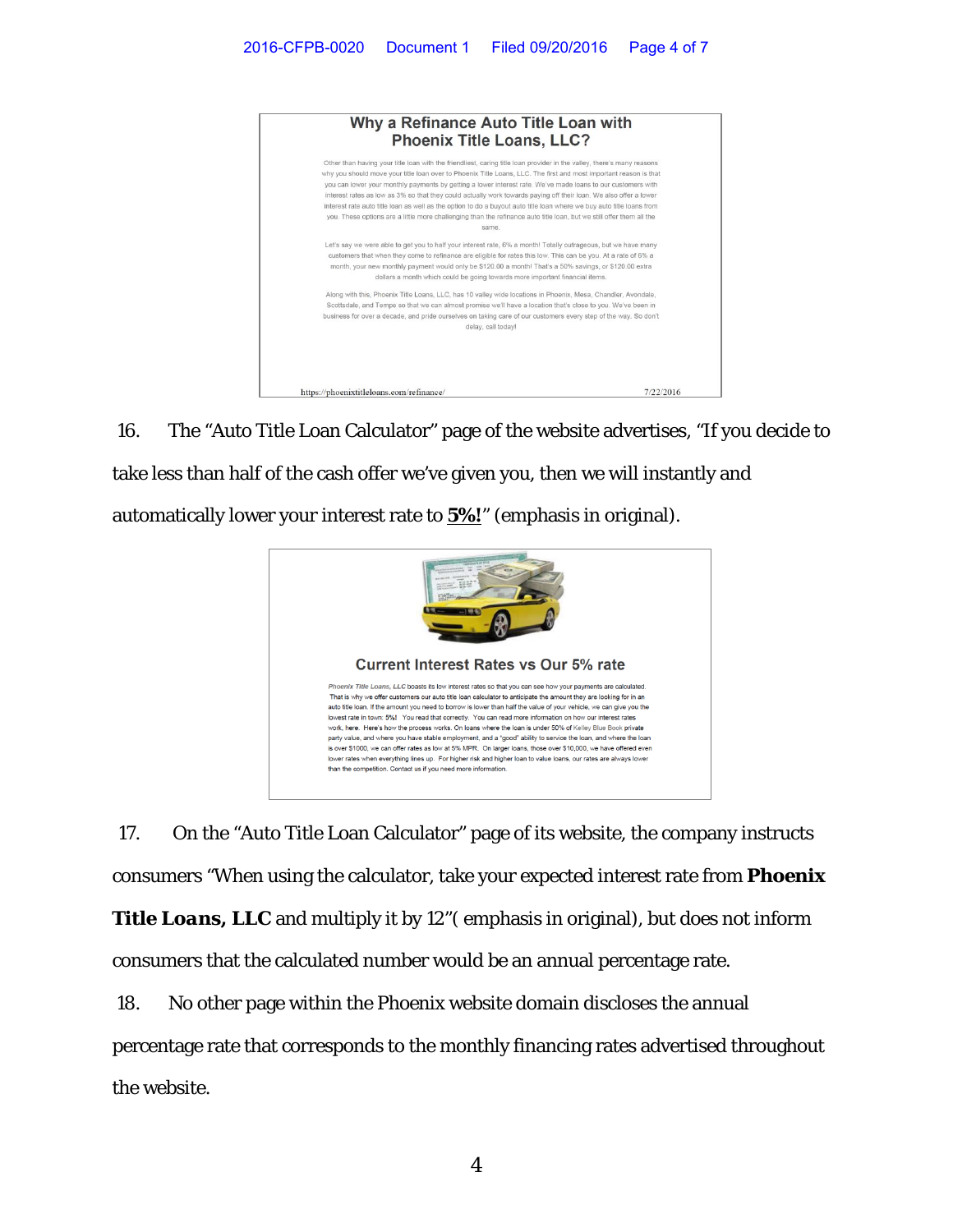

16. The "Auto Title Loan Calculator" page of the website advertises, "If you decide to take less than half of the cash offer we've given you, then we will instantly and automatically lower your interest rate to **5%!**" (emphasis in original).



17. On the "Auto Title Loan Calculator" page of its website, the company instructs consumers "When using the calculator, take your expected interest rate from *Phoenix*  **Title Loans, LLC** and multiply it by 12" (emphasis in original), but does not inform consumers that the calculated number would be an annual percentage rate.

18. No other page within the Phoenix website domain discloses the annual percentage rate that corresponds to the monthly financing rates advertised throughout the website.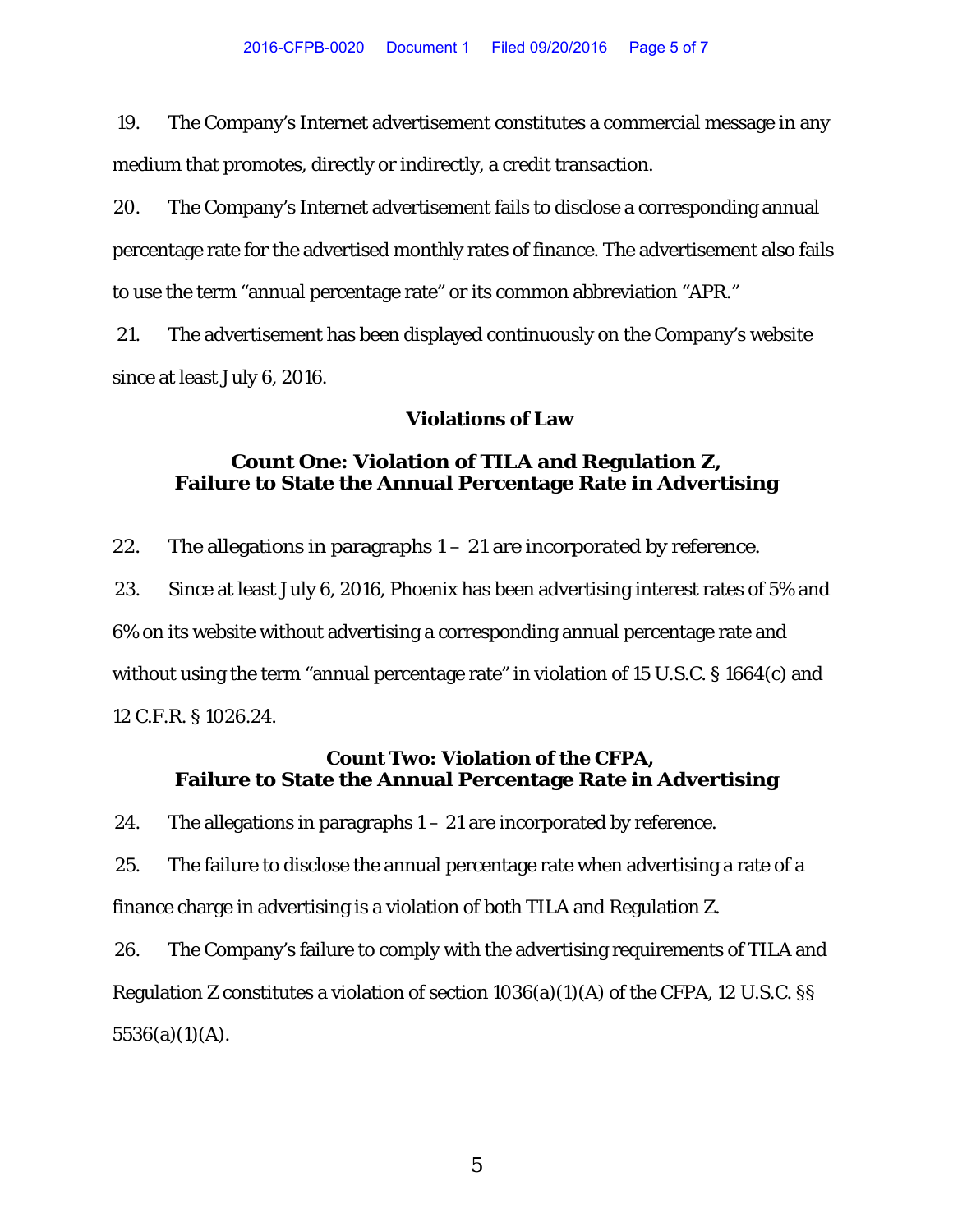19. The Company's Internet advertisement constitutes a commercial message in any medium that promotes, directly or indirectly, a credit transaction.

20. The Company's Internet advertisement fails to disclose a corresponding annual percentage rate for the advertised monthly rates of finance. The advertisement also fails to use the term "annual percentage rate" or its common abbreviation "APR."

21. The advertisement has been displayed continuously on the Company's website since at least July 6, 2016.

### **Violations of Law**

# **Count One: Violation of TILA and Regulation Z, Failure to State the Annual Percentage Rate in Advertising**

22. The allegations in paragraphs  $1 - 21$  are incorporated by reference.

23. Since at least July 6, 2016, Phoenix has been advertising interest rates of 5% and 6% on its website without advertising a corresponding annual percentage rate and without using the term "annual percentage rate" in violation of 15 U.S.C. § 1664(c) and 12 C.F.R. § 1026.24.

# **Count Two: Violation of the CFPA, Failure to State the Annual Percentage Rate in Advertising**

24. The allegations in paragraphs  $1 - 21$  are incorporated by reference.

25. The failure to disclose the annual percentage rate when advertising a rate of a finance charge in advertising is a violation of both TILA and Regulation Z.

26. The Company's failure to comply with the advertising requirements of TILA and Regulation Z constitutes a violation of section 1036(a)(1)(A) of the CFPA, 12 U.S.C. §§  $5536(a)(1)(A)$ .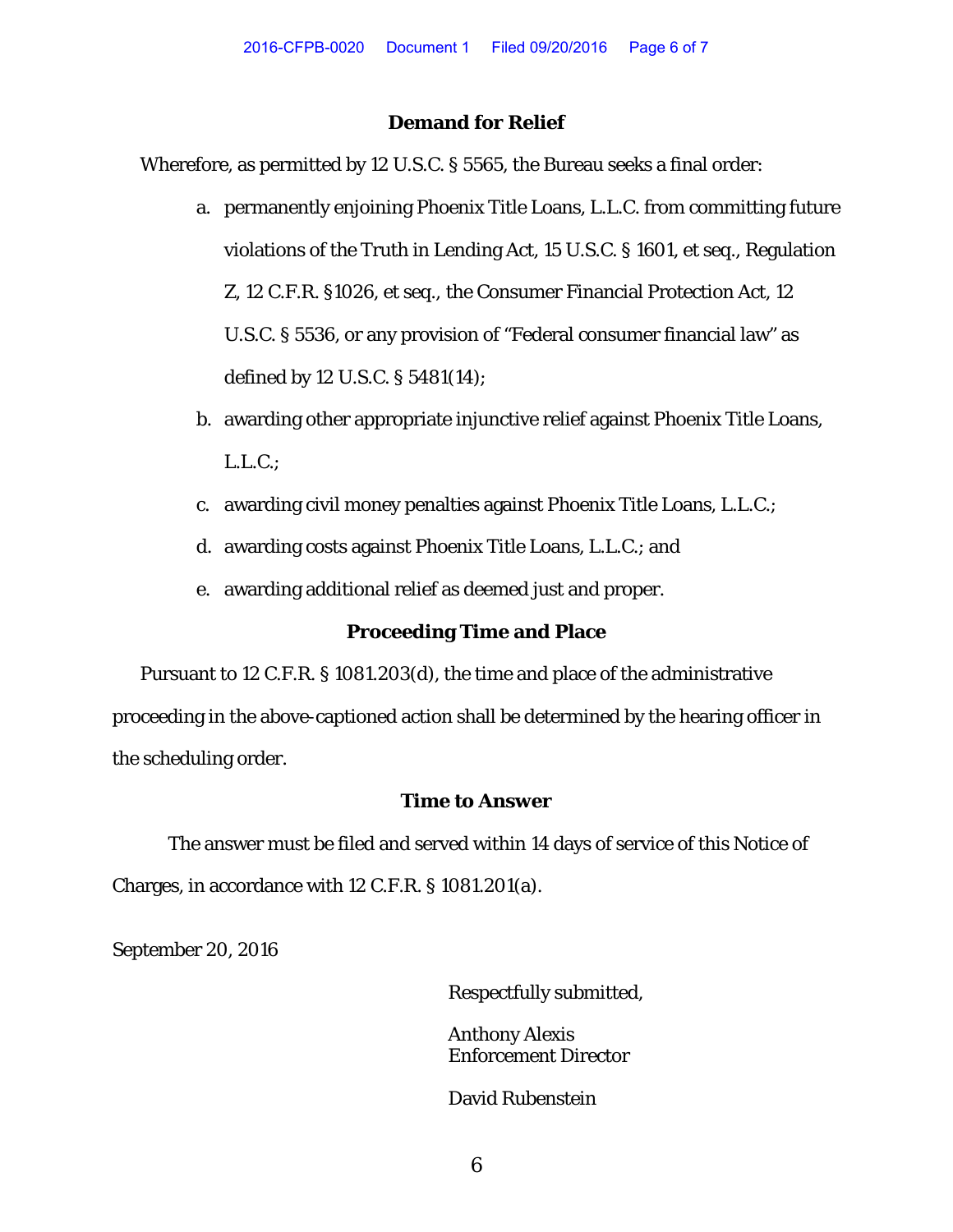## **Demand for Relief**

Wherefore, as permitted by 12 U.S.C. § 5565, the Bureau seeks a final order:

- a. permanently enjoining Phoenix Title Loans, L.L.C. from committing future violations of the Truth in Lending Act, 15 U.S.C. § 1601, et seq., Regulation Z, 12 C.F.R. §1026, et seq., the Consumer Financial Protection Act, 12 U.S.C. § 5536, or any provision of "Federal consumer financial law" as defined by 12 U.S.C. § 5481(14);
- b. awarding other appropriate injunctive relief against Phoenix Title Loans, L.L.C.;
- c. awarding civil money penalties against Phoenix Title Loans, L.L.C.;
- d. awarding costs against Phoenix Title Loans, L.L.C.; and
- e. awarding additional relief as deemed just and proper.

### **Proceeding Time and Place**

Pursuant to 12 C.F.R. § 1081.203(d), the time and place of the administrative proceeding in the above-captioned action shall be determined by the hearing officer in the scheduling order.

# **Time to Answer**

The answer must be filed and served within 14 days of service of this Notice of Charges, in accordance with 12 C.F.R. § 1081.201(a).

September 20, 2016

Respectfully submitted,

Anthony Alexis Enforcement Director

David Rubenstein